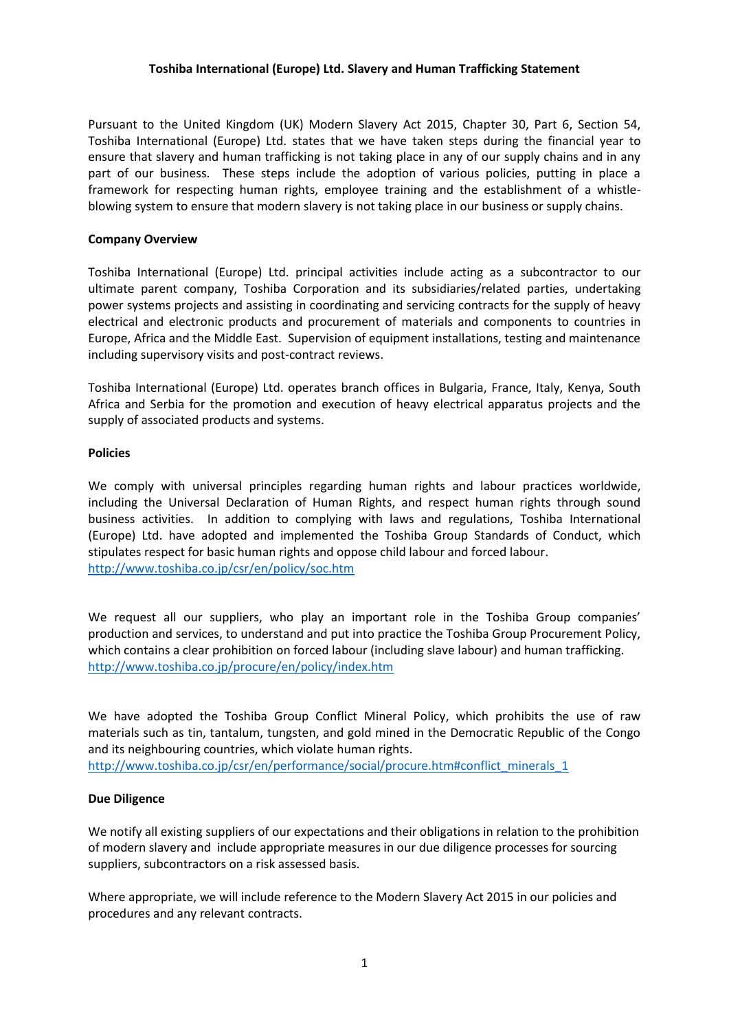## **Toshiba International (Europe) Ltd. Slavery and Human Trafficking Statement**

Pursuant to the United Kingdom (UK) Modern Slavery Act 2015, Chapter 30, Part 6, Section 54, Toshiba International (Europe) Ltd. states that we have taken steps during the financial year to ensure that slavery and human trafficking is not taking place in any of our supply chains and in any part of our business. These steps include the adoption of various policies, putting in place a framework for respecting human rights, employee training and the establishment of a whistleblowing system to ensure that modern slavery is not taking place in our business or supply chains.

### **Company Overview**

Toshiba International (Europe) Ltd. principal activities include acting as a subcontractor to our ultimate parent company, Toshiba Corporation and its subsidiaries/related parties, undertaking power systems projects and assisting in coordinating and servicing contracts for the supply of heavy electrical and electronic products and procurement of materials and components to countries in Europe, Africa and the Middle East. Supervision of equipment installations, testing and maintenance including supervisory visits and post-contract reviews.

Toshiba International (Europe) Ltd. operates branch offices in Bulgaria, France, Italy, Kenya, South Africa and Serbia for the promotion and execution of heavy electrical apparatus projects and the supply of associated products and systems.

#### **Policies**

We comply with universal principles regarding human rights and labour practices worldwide, including the Universal Declaration of Human Rights, and respect human rights through sound business activities. In addition to complying with laws and regulations, Toshiba International (Europe) Ltd. have adopted and implemented the Toshiba Group Standards of Conduct, which stipulates respect for basic human rights and oppose child labour and forced labour. <http://www.toshiba.co.jp/csr/en/policy/soc.htm>

We request all our suppliers, who play an important role in the Toshiba Group companies' production and services, to understand and put into practice the Toshiba Group Procurement Policy, which contains a clear prohibition on forced labour (including slave labour) and human trafficking. <http://www.toshiba.co.jp/procure/en/policy/index.htm>

We have adopted the Toshiba Group Conflict Mineral Policy, which prohibits the use of raw materials such as tin, tantalum, tungsten, and gold mined in the Democratic Republic of the Congo and its neighbouring countries, which violate human rights.

[http://www.toshiba.co.jp/csr/en/performance/social/procure.htm#conflict\\_minerals\\_1](http://www.toshiba.co.jp/csr/en/performance/social/procure.htm#conflict_minerals_1)

## **Due Diligence**

We notify all existing suppliers of our expectations and their obligations in relation to the prohibition of modern slavery and include appropriate measures in our due diligence processes for sourcing suppliers, subcontractors on a risk assessed basis.

Where appropriate, we will include reference to the Modern Slavery Act 2015 in our policies and procedures and any relevant contracts.